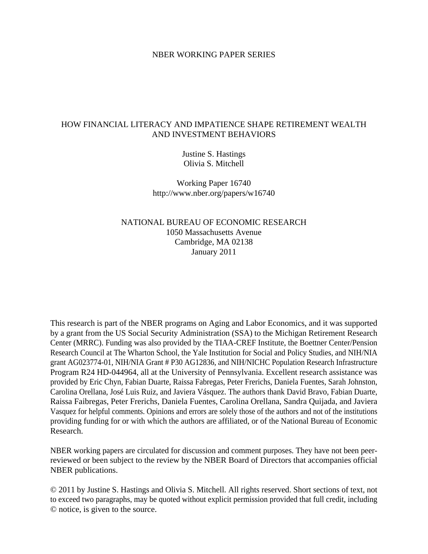### NBER WORKING PAPER SERIES

### HOW FINANCIAL LITERACY AND IMPATIENCE SHAPE RETIREMENT WEALTH AND INVESTMENT BEHAVIORS

Justine S. Hastings Olivia S. Mitchell

Working Paper 16740 http://www.nber.org/papers/w16740

NATIONAL BUREAU OF ECONOMIC RESEARCH 1050 Massachusetts Avenue Cambridge, MA 02138 January 2011

This research is part of the NBER programs on Aging and Labor Economics, and it was supported by a grant from the US Social Security Administration (SSA) to the Michigan Retirement Research Center (MRRC). Funding was also provided by the TIAA-CREF Institute, the Boettner Center/Pension Research Council at The Wharton School, the Yale Institution for Social and Policy Studies, and NIH/NIA grant AG023774-01, NIH/NIA Grant # P30 AG12836, and NIH/NICHC Population Research Infrastructure Program R24 HD-044964, all at the University of Pennsylvania. Excellent research assistance was provided by Eric Chyn, Fabian Duarte, Raissa Fabregas, Peter Frerichs, Daniela Fuentes, Sarah Johnston, Carolina Orellana, José Luis Ruiz, and Javiera Vásquez. The authors thank David Bravo, Fabian Duarte, Raissa Faibregas, Peter Frerichs, Daniela Fuentes, Carolina Orellana, Sandra Quijada, and Javiera Vasquez for helpful comments. Opinions and errors are solely those of the authors and not of the institutions providing funding for or with which the authors are affiliated, or of the National Bureau of Economic Research.

NBER working papers are circulated for discussion and comment purposes. They have not been peerreviewed or been subject to the review by the NBER Board of Directors that accompanies official NBER publications.

© 2011 by Justine S. Hastings and Olivia S. Mitchell. All rights reserved. Short sections of text, not to exceed two paragraphs, may be quoted without explicit permission provided that full credit, including © notice, is given to the source.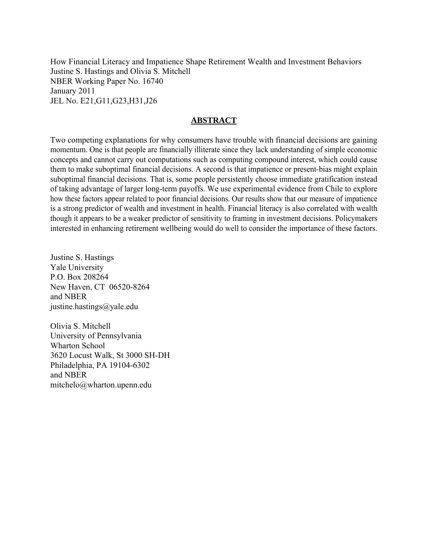How Financial Literacy and Impatience Shape Retirement Wealth and Investment Behaviors Justine S. Hastings and Olivia S. Mitchell NBER Working Paper No. 16740 January 2011 JEL No. E21,G11,G23,H31,J26

### **ABSTRACT**

Two competing explanations for why consumers have trouble with financial decisions are gaining momentum. One is that people are financially illiterate since they lack understanding of simple economic concepts and cannot carry out computations such as computing compound interest, which could cause them to make suboptimal financial decisions. A second is that impatience or present-bias might explain suboptimal financial decisions. That is, some people persistently choose immediate gratification instead of taking advantage of larger long-term payoffs. We use experimental evidence from Chile to explore how these factors appear related to poor financial decisions. Our results show that our measure of impatience is a strong predictor of wealth and investment in health. Financial literacy is also correlated with wealth though it appears to be a weaker predictor of sensitivity to framing in investment decisions. Policymakers interested in enhancing retirement wellbeing would do well to consider the importance of these factors.

Justine S. Hastings Yale University P.O. Box 208264 New Haven, CT 06520-8264 and NBER justine.hastings@yale.edu

Olivia S. Mitchell University of Pennsylvania Wharton School 3620 Locust Walk, St 3000 SH-DH Philadelphia, PA 19104-6302 and NBER mitchelo@wharton.upenn.edu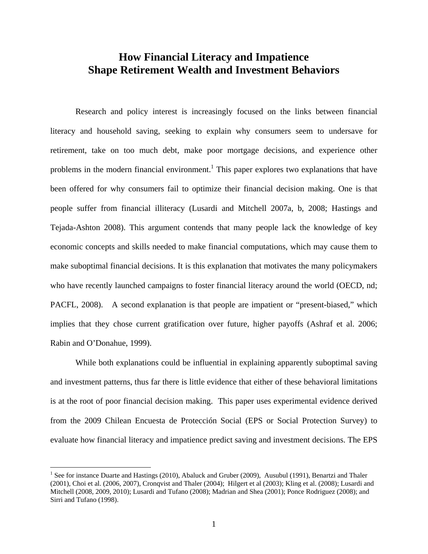# **How Financial Literacy and Impatience Shape Retirement Wealth and Investment Behaviors**

Research and policy interest is increasingly focused on the links between financial literacy and household saving, seeking to explain why consumers seem to undersave for retirement, take on too much debt, make poor mortgage decisions, and experience other problems in the modern financial environment.<sup>1</sup> This paper explores two explanations that have been offered for why consumers fail to optimize their financial decision making. One is that people suffer from financial illiteracy (Lusardi and Mitchell 2007a, b, 2008; Hastings and Tejada-Ashton 2008). This argument contends that many people lack the knowledge of key economic concepts and skills needed to make financial computations, which may cause them to make suboptimal financial decisions. It is this explanation that motivates the many policymakers who have recently launched campaigns to foster financial literacy around the world (OECD, nd; PACFL, 2008). A second explanation is that people are impatient or "present-biased," which implies that they chose current gratification over future, higher payoffs (Ashraf et al. 2006; Rabin and O'Donahue, 1999).

While both explanations could be influential in explaining apparently suboptimal saving and investment patterns, thus far there is little evidence that either of these behavioral limitations is at the root of poor financial decision making. This paper uses experimental evidence derived from the 2009 Chilean Encuesta de Protección Social (EPS or Social Protection Survey) to evaluate how financial literacy and impatience predict saving and investment decisions. The EPS

<u>.</u>

<sup>&</sup>lt;sup>1</sup> See for instance Duarte and Hastings (2010), Abaluck and Gruber (2009), Ausubul (1991), Benartzi and Thaler (2001), Choi et al. (2006, 2007), Cronqvist and Thaler (2004); Hilgert et al (2003); Kling et al. (2008); Lusardi and Mitchell (2008, 2009, 2010); Lusardi and Tufano (2008); Madrian and Shea (2001); Ponce Rodriguez (2008); and Sirri and Tufano (1998).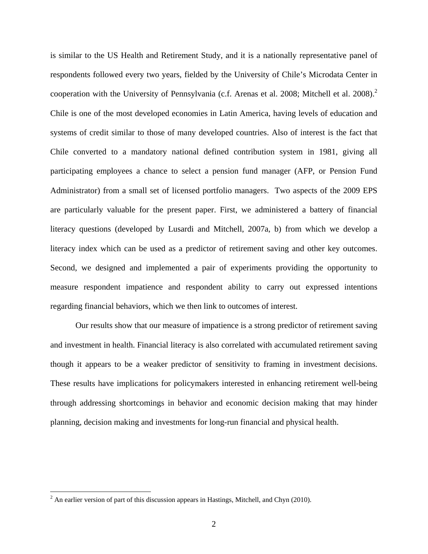is similar to the US Health and Retirement Study, and it is a nationally representative panel of respondents followed every two years, fielded by the University of Chile's Microdata Center in cooperation with the University of Pennsylvania (c.f. Arenas et al. 2008; Mitchell et al. 2008).<sup>2</sup> Chile is one of the most developed economies in Latin America, having levels of education and systems of credit similar to those of many developed countries. Also of interest is the fact that Chile converted to a mandatory national defined contribution system in 1981, giving all participating employees a chance to select a pension fund manager (AFP, or Pension Fund Administrator) from a small set of licensed portfolio managers. Two aspects of the 2009 EPS are particularly valuable for the present paper. First, we administered a battery of financial literacy questions (developed by Lusardi and Mitchell, 2007a, b) from which we develop a literacy index which can be used as a predictor of retirement saving and other key outcomes. Second, we designed and implemented a pair of experiments providing the opportunity to measure respondent impatience and respondent ability to carry out expressed intentions regarding financial behaviors, which we then link to outcomes of interest.

Our results show that our measure of impatience is a strong predictor of retirement saving and investment in health. Financial literacy is also correlated with accumulated retirement saving though it appears to be a weaker predictor of sensitivity to framing in investment decisions. These results have implications for policymakers interested in enhancing retirement well-being through addressing shortcomings in behavior and economic decision making that may hinder planning, decision making and investments for long-run financial and physical health.

<sup>&</sup>lt;sup>2</sup> An earlier version of part of this discussion appears in Hastings, Mitchell, and Chyn (2010).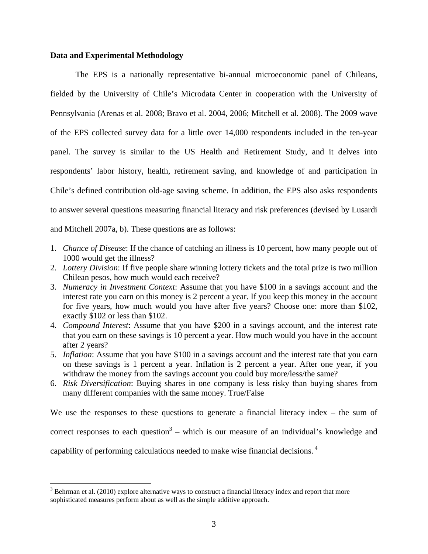### **Data and Experimental Methodology**

The EPS is a nationally representative bi-annual microeconomic panel of Chileans, fielded by the University of Chile's Microdata Center in cooperation with the University of Pennsylvania (Arenas et al. 2008; Bravo et al. 2004, 2006; Mitchell et al. 2008). The 2009 wave of the EPS collected survey data for a little over 14,000 respondents included in the ten-year panel. The survey is similar to the US Health and Retirement Study, and it delves into respondents' labor history, health, retirement saving, and knowledge of and participation in Chile's defined contribution old-age saving scheme. In addition, the EPS also asks respondents to answer several questions measuring financial literacy and risk preferences (devised by Lusardi and Mitchell 2007a, b). These questions are as follows:

- 1. *Chance of Disease*: If the chance of catching an illness is 10 percent, how many people out of 1000 would get the illness?
- 2. *Lottery Division*: If five people share winning lottery tickets and the total prize is two million Chilean pesos, how much would each receive?
- 3. *Numeracy in Investment Context*: Assume that you have \$100 in a savings account and the interest rate you earn on this money is 2 percent a year. If you keep this money in the account for five years, how much would you have after five years? Choose one: more than \$102, exactly \$102 or less than \$102.
- 4. *Compound Interest*: Assume that you have \$200 in a savings account, and the interest rate that you earn on these savings is 10 percent a year. How much would you have in the account after 2 years?
- 5. *Inflation*: Assume that you have \$100 in a savings account and the interest rate that you earn on these savings is 1 percent a year. Inflation is 2 percent a year. After one year, if you withdraw the money from the savings account you could buy more/less/the same?
- 6. *Risk Diversification*: Buying shares in one company is less risky than buying shares from many different companies with the same money. True/False

We use the responses to these questions to generate a financial literacy index – the sum of

correct responses to each question<sup>3</sup> – which is our measure of an individual's knowledge and

capability of performing calculations needed to make wise financial decisions. 4

 $\overline{a}$ 

 $3$  Behrman et al. (2010) explore alternative ways to construct a financial literacy index and report that more sophisticated measures perform about as well as the simple additive approach.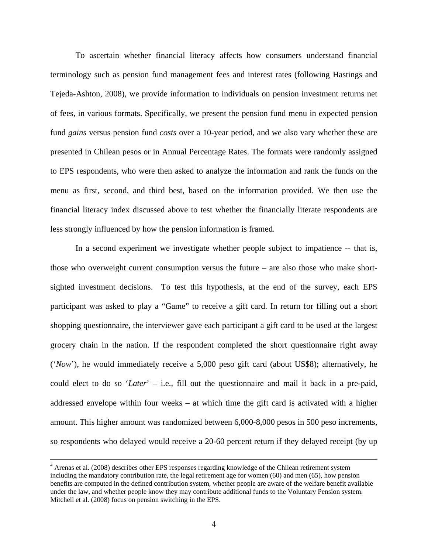To ascertain whether financial literacy affects how consumers understand financial terminology such as pension fund management fees and interest rates (following Hastings and Tejeda-Ashton, 2008), we provide information to individuals on pension investment returns net of fees, in various formats. Specifically, we present the pension fund menu in expected pension fund *gains* versus pension fund *costs* over a 10-year period, and we also vary whether these are presented in Chilean pesos or in Annual Percentage Rates. The formats were randomly assigned to EPS respondents, who were then asked to analyze the information and rank the funds on the menu as first, second, and third best, based on the information provided. We then use the financial literacy index discussed above to test whether the financially literate respondents are less strongly influenced by how the pension information is framed.

In a second experiment we investigate whether people subject to impatience -- that is, those who overweight current consumption versus the future – are also those who make shortsighted investment decisions. To test this hypothesis, at the end of the survey, each EPS participant was asked to play a "Game" to receive a gift card. In return for filling out a short shopping questionnaire, the interviewer gave each participant a gift card to be used at the largest grocery chain in the nation. If the respondent completed the short questionnaire right away ('*Now*'), he would immediately receive a 5,000 peso gift card (about US\$8); alternatively, he could elect to do so '*Later*' – i.e., fill out the questionnaire and mail it back in a pre-paid, addressed envelope within four weeks – at which time the gift card is activated with a higher amount. This higher amount was randomized between 6,000-8,000 pesos in 500 peso increments, so respondents who delayed would receive a 20-60 percent return if they delayed receipt (by up

 $\frac{1}{4}$  Arenas et al. (2008) describes other EPS responses regarding knowledge of the Chilean retirement system including the mandatory contribution rate, the legal retirement age for women (60) and men (65), how pension benefits are computed in the defined contribution system, whether people are aware of the welfare benefit available under the law, and whether people know they may contribute additional funds to the Voluntary Pension system. Mitchell et al. (2008) focus on pension switching in the EPS.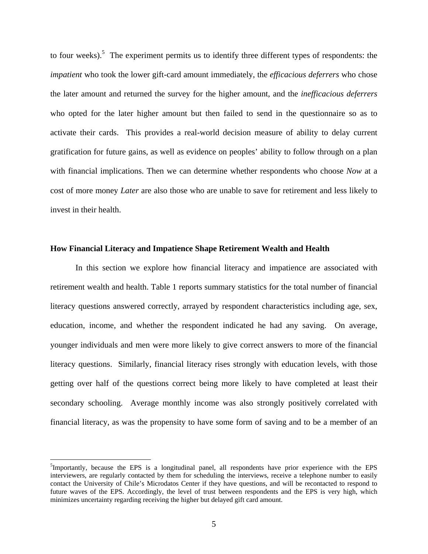to four weeks).<sup>5</sup> The experiment permits us to identify three different types of respondents: the *impatient* who took the lower gift-card amount immediately, the *efficacious deferrers* who chose the later amount and returned the survey for the higher amount, and the *inefficacious deferrers* who opted for the later higher amount but then failed to send in the questionnaire so as to activate their cards. This provides a real-world decision measure of ability to delay current gratification for future gains, as well as evidence on peoples' ability to follow through on a plan with financial implications. Then we can determine whether respondents who choose *Now* at a cost of more money *Later* are also those who are unable to save for retirement and less likely to invest in their health.

### **How Financial Literacy and Impatience Shape Retirement Wealth and Health**

In this section we explore how financial literacy and impatience are associated with retirement wealth and health. Table 1 reports summary statistics for the total number of financial literacy questions answered correctly, arrayed by respondent characteristics including age, sex, education, income, and whether the respondent indicated he had any saving. On average, younger individuals and men were more likely to give correct answers to more of the financial literacy questions. Similarly, financial literacy rises strongly with education levels, with those getting over half of the questions correct being more likely to have completed at least their secondary schooling. Average monthly income was also strongly positively correlated with financial literacy, as was the propensity to have some form of saving and to be a member of an

1

<sup>&</sup>lt;sup>5</sup>Importantly, because the EPS is a longitudinal panel, all respondents have prior experience with the EPS interviewers, are regularly contacted by them for scheduling the interviews, receive a telephone number to easily contact the University of Chile's Microdatos Center if they have questions, and will be recontacted to respond to future waves of the EPS. Accordingly, the level of trust between respondents and the EPS is very high, which minimizes uncertainty regarding receiving the higher but delayed gift card amount.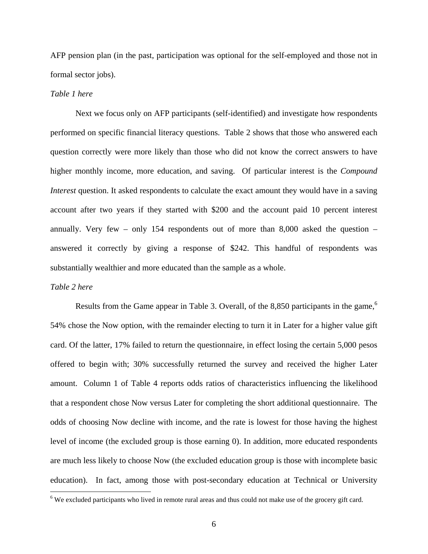AFP pension plan (in the past, participation was optional for the self-employed and those not in formal sector jobs).

### *Table 1 here*

 Next we focus only on AFP participants (self-identified) and investigate how respondents performed on specific financial literacy questions. Table 2 shows that those who answered each question correctly were more likely than those who did not know the correct answers to have higher monthly income, more education, and saving. Of particular interest is the *Compound Interest* question. It asked respondents to calculate the exact amount they would have in a saving account after two years if they started with \$200 and the account paid 10 percent interest annually. Very few – only 154 respondents out of more than 8,000 asked the question – answered it correctly by giving a response of \$242. This handful of respondents was substantially wealthier and more educated than the sample as a whole.

### *Table 2 here*

Results from the Game appear in Table 3. Overall, of the 8,850 participants in the game,<sup>6</sup> 54% chose the Now option, with the remainder electing to turn it in Later for a higher value gift card. Of the latter, 17% failed to return the questionnaire, in effect losing the certain 5,000 pesos offered to begin with; 30% successfully returned the survey and received the higher Later amount. Column 1 of Table 4 reports odds ratios of characteristics influencing the likelihood that a respondent chose Now versus Later for completing the short additional questionnaire. The odds of choosing Now decline with income, and the rate is lowest for those having the highest level of income (the excluded group is those earning 0). In addition, more educated respondents are much less likely to choose Now (the excluded education group is those with incomplete basic education). In fact, among those with post-secondary education at Technical or University

<sup>&</sup>lt;sup>6</sup> We excluded participants who lived in remote rural areas and thus could not make use of the grocery gift card.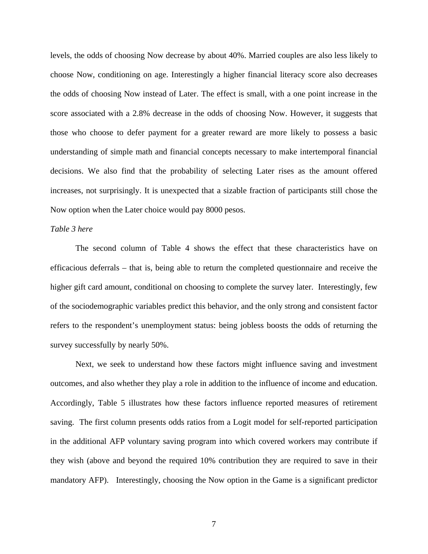levels, the odds of choosing Now decrease by about 40%. Married couples are also less likely to choose Now, conditioning on age. Interestingly a higher financial literacy score also decreases the odds of choosing Now instead of Later. The effect is small, with a one point increase in the score associated with a 2.8% decrease in the odds of choosing Now. However, it suggests that those who choose to defer payment for a greater reward are more likely to possess a basic understanding of simple math and financial concepts necessary to make intertemporal financial decisions. We also find that the probability of selecting Later rises as the amount offered increases, not surprisingly. It is unexpected that a sizable fraction of participants still chose the Now option when the Later choice would pay 8000 pesos.

### *Table 3 here*

The second column of Table 4 shows the effect that these characteristics have on efficacious deferrals – that is, being able to return the completed questionnaire and receive the higher gift card amount, conditional on choosing to complete the survey later. Interestingly, few of the sociodemographic variables predict this behavior, and the only strong and consistent factor refers to the respondent's unemployment status: being jobless boosts the odds of returning the survey successfully by nearly 50%.

Next, we seek to understand how these factors might influence saving and investment outcomes, and also whether they play a role in addition to the influence of income and education. Accordingly, Table 5 illustrates how these factors influence reported measures of retirement saving. The first column presents odds ratios from a Logit model for self-reported participation in the additional AFP voluntary saving program into which covered workers may contribute if they wish (above and beyond the required 10% contribution they are required to save in their mandatory AFP). Interestingly, choosing the Now option in the Game is a significant predictor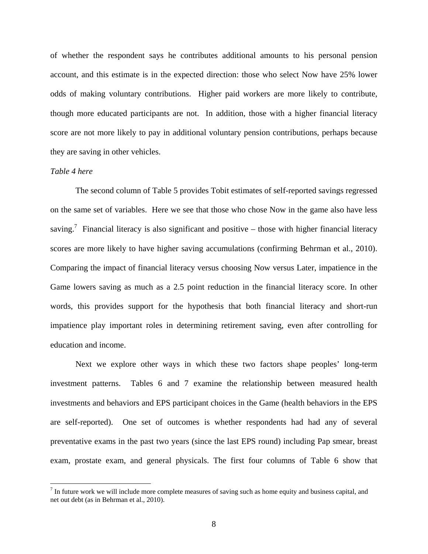of whether the respondent says he contributes additional amounts to his personal pension account, and this estimate is in the expected direction: those who select Now have 25% lower odds of making voluntary contributions. Higher paid workers are more likely to contribute, though more educated participants are not. In addition, those with a higher financial literacy score are not more likely to pay in additional voluntary pension contributions, perhaps because they are saving in other vehicles.

### *Table 4 here*

1

The second column of Table 5 provides Tobit estimates of self-reported savings regressed on the same set of variables. Here we see that those who chose Now in the game also have less saving.<sup>7</sup> Financial literacy is also significant and positive – those with higher financial literacy scores are more likely to have higher saving accumulations (confirming Behrman et al., 2010). Comparing the impact of financial literacy versus choosing Now versus Later, impatience in the Game lowers saving as much as a 2.5 point reduction in the financial literacy score. In other words, this provides support for the hypothesis that both financial literacy and short-run impatience play important roles in determining retirement saving, even after controlling for education and income.

Next we explore other ways in which these two factors shape peoples' long-term investment patterns. Tables 6 and 7 examine the relationship between measured health investments and behaviors and EPS participant choices in the Game (health behaviors in the EPS are self-reported). One set of outcomes is whether respondents had had any of several preventative exams in the past two years (since the last EPS round) including Pap smear, breast exam, prostate exam, and general physicals. The first four columns of Table 6 show that

 $<sup>7</sup>$  In future work we will include more complete measures of saving such as home equity and business capital, and</sup> net out debt (as in Behrman et al., 2010).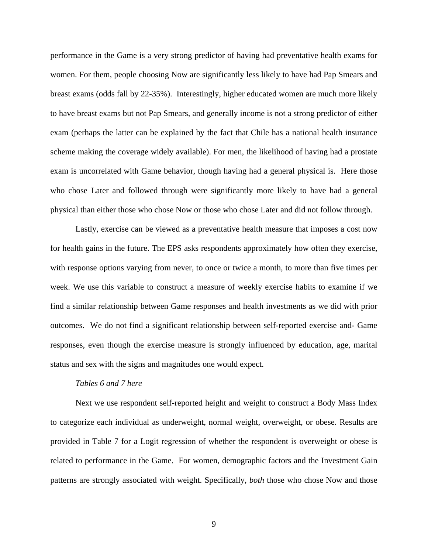performance in the Game is a very strong predictor of having had preventative health exams for women. For them, people choosing Now are significantly less likely to have had Pap Smears and breast exams (odds fall by 22-35%). Interestingly, higher educated women are much more likely to have breast exams but not Pap Smears, and generally income is not a strong predictor of either exam (perhaps the latter can be explained by the fact that Chile has a national health insurance scheme making the coverage widely available). For men, the likelihood of having had a prostate exam is uncorrelated with Game behavior, though having had a general physical is. Here those who chose Later and followed through were significantly more likely to have had a general physical than either those who chose Now or those who chose Later and did not follow through.

Lastly, exercise can be viewed as a preventative health measure that imposes a cost now for health gains in the future. The EPS asks respondents approximately how often they exercise, with response options varying from never, to once or twice a month, to more than five times per week. We use this variable to construct a measure of weekly exercise habits to examine if we find a similar relationship between Game responses and health investments as we did with prior outcomes. We do not find a significant relationship between self-reported exercise and- Game responses, even though the exercise measure is strongly influenced by education, age, marital status and sex with the signs and magnitudes one would expect.

### *Tables 6 and 7 here*

Next we use respondent self-reported height and weight to construct a Body Mass Index to categorize each individual as underweight, normal weight, overweight, or obese. Results are provided in Table 7 for a Logit regression of whether the respondent is overweight or obese is related to performance in the Game. For women, demographic factors and the Investment Gain patterns are strongly associated with weight. Specifically, *both* those who chose Now and those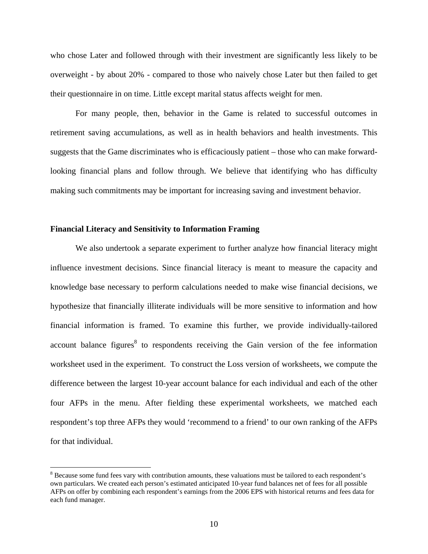who chose Later and followed through with their investment are significantly less likely to be overweight - by about 20% - compared to those who naively chose Later but then failed to get their questionnaire in on time. Little except marital status affects weight for men.

For many people, then, behavior in the Game is related to successful outcomes in retirement saving accumulations, as well as in health behaviors and health investments. This suggests that the Game discriminates who is efficaciously patient – those who can make forwardlooking financial plans and follow through. We believe that identifying who has difficulty making such commitments may be important for increasing saving and investment behavior.

### **Financial Literacy and Sensitivity to Information Framing**

 $\overline{a}$ 

We also undertook a separate experiment to further analyze how financial literacy might influence investment decisions. Since financial literacy is meant to measure the capacity and knowledge base necessary to perform calculations needed to make wise financial decisions, we hypothesize that financially illiterate individuals will be more sensitive to information and how financial information is framed. To examine this further, we provide individually-tailored account balance figures<sup>8</sup> to respondents receiving the Gain version of the fee information worksheet used in the experiment. To construct the Loss version of worksheets, we compute the difference between the largest 10-year account balance for each individual and each of the other four AFPs in the menu. After fielding these experimental worksheets, we matched each respondent's top three AFPs they would 'recommend to a friend' to our own ranking of the AFPs for that individual.

<sup>&</sup>lt;sup>8</sup> Because some fund fees vary with contribution amounts, these valuations must be tailored to each respondent's own particulars. We created each person's estimated anticipated 10-year fund balances net of fees for all possible AFPs on offer by combining each respondent's earnings from the 2006 EPS with historical returns and fees data for each fund manager.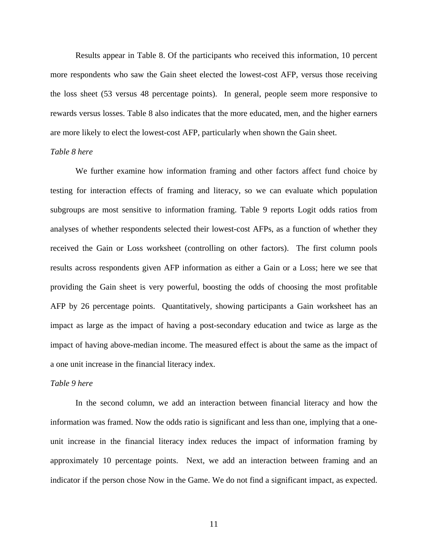Results appear in Table 8. Of the participants who received this information, 10 percent more respondents who saw the Gain sheet elected the lowest-cost AFP, versus those receiving the loss sheet (53 versus 48 percentage points). In general, people seem more responsive to rewards versus losses. Table 8 also indicates that the more educated, men, and the higher earners are more likely to elect the lowest-cost AFP, particularly when shown the Gain sheet.

### *Table 8 here*

We further examine how information framing and other factors affect fund choice by testing for interaction effects of framing and literacy, so we can evaluate which population subgroups are most sensitive to information framing. Table 9 reports Logit odds ratios from analyses of whether respondents selected their lowest-cost AFPs, as a function of whether they received the Gain or Loss worksheet (controlling on other factors). The first column pools results across respondents given AFP information as either a Gain or a Loss; here we see that providing the Gain sheet is very powerful, boosting the odds of choosing the most profitable AFP by 26 percentage points. Quantitatively, showing participants a Gain worksheet has an impact as large as the impact of having a post-secondary education and twice as large as the impact of having above-median income. The measured effect is about the same as the impact of a one unit increase in the financial literacy index.

### *Table 9 here*

In the second column, we add an interaction between financial literacy and how the information was framed. Now the odds ratio is significant and less than one, implying that a oneunit increase in the financial literacy index reduces the impact of information framing by approximately 10 percentage points. Next, we add an interaction between framing and an indicator if the person chose Now in the Game. We do not find a significant impact, as expected.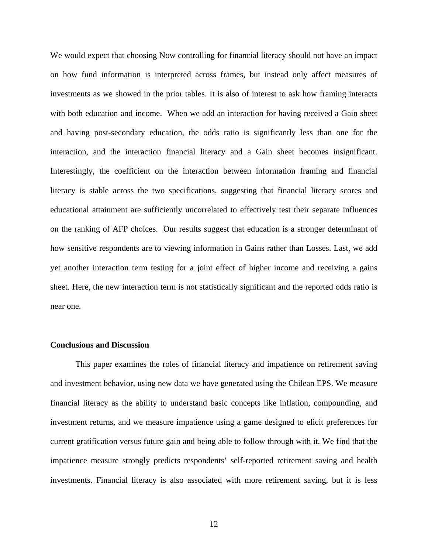We would expect that choosing Now controlling for financial literacy should not have an impact on how fund information is interpreted across frames, but instead only affect measures of investments as we showed in the prior tables. It is also of interest to ask how framing interacts with both education and income. When we add an interaction for having received a Gain sheet and having post-secondary education, the odds ratio is significantly less than one for the interaction, and the interaction financial literacy and a Gain sheet becomes insignificant. Interestingly, the coefficient on the interaction between information framing and financial literacy is stable across the two specifications, suggesting that financial literacy scores and educational attainment are sufficiently uncorrelated to effectively test their separate influences on the ranking of AFP choices. Our results suggest that education is a stronger determinant of how sensitive respondents are to viewing information in Gains rather than Losses. Last, we add yet another interaction term testing for a joint effect of higher income and receiving a gains sheet. Here, the new interaction term is not statistically significant and the reported odds ratio is near one.

### **Conclusions and Discussion**

This paper examines the roles of financial literacy and impatience on retirement saving and investment behavior, using new data we have generated using the Chilean EPS. We measure financial literacy as the ability to understand basic concepts like inflation, compounding, and investment returns, and we measure impatience using a game designed to elicit preferences for current gratification versus future gain and being able to follow through with it. We find that the impatience measure strongly predicts respondents' self-reported retirement saving and health investments. Financial literacy is also associated with more retirement saving, but it is less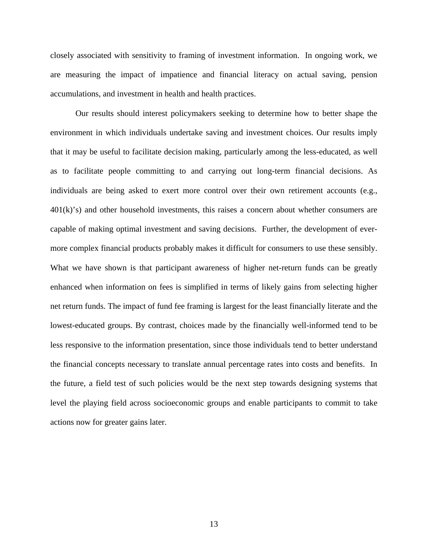closely associated with sensitivity to framing of investment information. In ongoing work, we are measuring the impact of impatience and financial literacy on actual saving, pension accumulations, and investment in health and health practices.

Our results should interest policymakers seeking to determine how to better shape the environment in which individuals undertake saving and investment choices. Our results imply that it may be useful to facilitate decision making, particularly among the less-educated, as well as to facilitate people committing to and carrying out long-term financial decisions. As individuals are being asked to exert more control over their own retirement accounts (e.g.,  $401(k)$ 's) and other household investments, this raises a concern about whether consumers are capable of making optimal investment and saving decisions. Further, the development of evermore complex financial products probably makes it difficult for consumers to use these sensibly. What we have shown is that participant awareness of higher net-return funds can be greatly enhanced when information on fees is simplified in terms of likely gains from selecting higher net return funds. The impact of fund fee framing is largest for the least financially literate and the lowest-educated groups. By contrast, choices made by the financially well-informed tend to be less responsive to the information presentation, since those individuals tend to better understand the financial concepts necessary to translate annual percentage rates into costs and benefits. In the future, a field test of such policies would be the next step towards designing systems that level the playing field across socioeconomic groups and enable participants to commit to take actions now for greater gains later.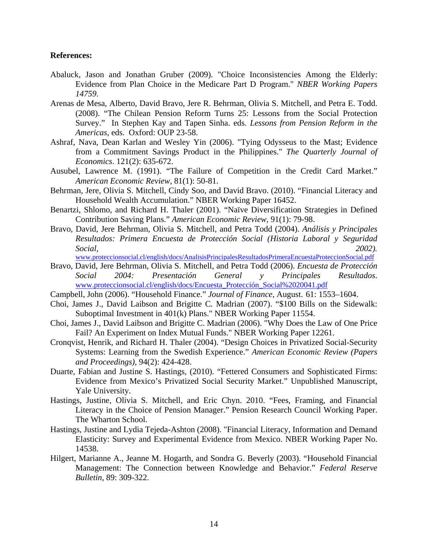### **References:**

- Abaluck, Jason and Jonathan Gruber (2009). "Choice Inconsistencies Among the Elderly: Evidence from Plan Choice in the Medicare Part D Program." *NBER Working Papers 14759*.
- Arenas de Mesa, Alberto, David Bravo, Jere R. Behrman, Olivia S. Mitchell, and Petra E. Todd. (2008). "The Chilean Pension Reform Turns 25: Lessons from the Social Protection Survey." In Stephen Kay and Tapen Sinha. eds. *Lessons from Pension Reform in the Americas*, eds. Oxford: OUP 23-58.
- Ashraf, Nava, Dean Karlan and Wesley Yin (2006). "Tying Odysseus to the Mast; Evidence from a Commitment Savings Product in the Philippines." *The Quarterly Journal of Economics*. 121(2): 635-672.
- Ausubel, Lawrence M. (1991). "The Failure of Competition in the Credit Card Market." *American Economic Review*, 81(1): 50-81.
- Behrman, Jere, Olivia S. Mitchell, Cindy Soo, and David Bravo. (2010). "Financial Literacy and Household Wealth Accumulation." NBER Working Paper 16452.
- Benartzi, Shlomo, and Richard H. Thaler (2001). "Naïve Diversification Strategies in Defined Contribution Saving Plans." *American Economic Review*, 91(1): 79-98.
- Bravo, David, Jere Behrman, Olivia S. Mitchell, and Petra Todd (2004). *Análisis y Principales Resultados: Primera Encuesta de Protección Social (Historia Laboral y Seguridad Social, 2002).*

www.proteccionsocial.cl/english/docs/AnalisisPrincipalesResultadosPrimeraEncuestaProteccionSocial.pdf

- Bravo, David, Jere Behrman, Olivia S. Mitchell, and Petra Todd (2006). *Encuesta de Protección Social 2004: Presentación General y Principales Resultados*. www.proteccionsocial.cl/english/docs/Encuesta\_Protección\_Social%2020041.pdf
- Campbell, John (2006). "Household Finance." *Journal of Finance*, August. 61: 1553–1604.
- Choi, James J., David Laibson and Brigitte C. Madrian (2007). "\$100 Bills on the Sidewalk: Suboptimal Investment in 401(k) Plans." NBER Working Paper 11554.
- Choi, James J., David Laibson and Brigitte C. Madrian (2006). "Why Does the Law of One Price Fail? An Experiment on Index Mutual Funds." NBER Working Paper 12261.
- Cronqvist, Henrik, and Richard H. Thaler (2004). "Design Choices in Privatized Social-Security Systems: Learning from the Swedish Experience." *American Economic Review (Papers and Proceedings)*, 94(2): 424-428.
- Duarte, Fabian and Justine S. Hastings, (2010). "Fettered Consumers and Sophisticated Firms: Evidence from Mexico's Privatized Social Security Market." Unpublished Manuscript, Yale University.
- Hastings, Justine, Olivia S. Mitchell, and Eric Chyn. 2010. "Fees, Framing, and Financial Literacy in the Choice of Pension Manager." Pension Research Council Working Paper. The Wharton School.
- Hastings, Justine and Lydia Tejeda-Ashton (2008). "Financial Literacy, Information and Demand Elasticity: Survey and Experimental Evidence from Mexico. NBER Working Paper No. 14538.
- Hilgert, Marianne A., Jeanne M. Hogarth, and Sondra G. Beverly (2003). "Household Financial Management: The Connection between Knowledge and Behavior." *Federal Reserve Bulletin,* 89: 309-322.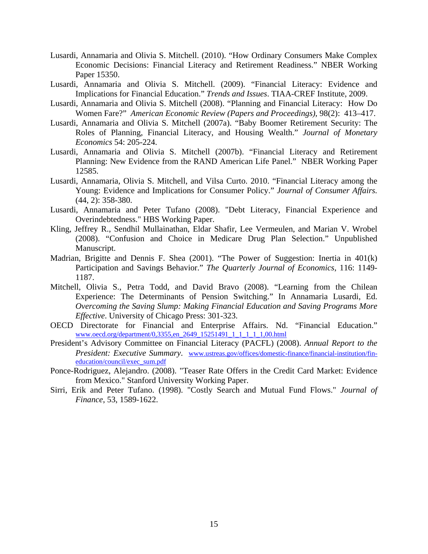- Lusardi, Annamaria and Olivia S. Mitchell. (2010). "How Ordinary Consumers Make Complex Economic Decisions: Financial Literacy and Retirement Readiness." NBER Working Paper 15350.
- Lusardi, Annamaria and Olivia S. Mitchell. (2009). "Financial Literacy: Evidence and Implications for Financial Education." *Trends and Issues*. TIAA-CREF Institute, 2009.
- Lusardi, Annamaria and Olivia S. Mitchell (2008). "Planning and Financial Literacy: How Do Women Fare?" *American Economic Review (Papers and Proceedings)*, 98(2): 413–417.
- Lusardi, Annamaria and Olivia S. Mitchell (2007a). "Baby Boomer Retirement Security: The Roles of Planning, Financial Literacy, and Housing Wealth." *Journal of Monetary Economics* 54: 205-224.
- Lusardi, Annamaria and Olivia S. Mitchell (2007b). "Financial Literacy and Retirement Planning: New Evidence from the RAND American Life Panel." NBER Working Paper 12585.
- Lusardi, Annamaria, Olivia S. Mitchell, and Vilsa Curto. 2010. "Financial Literacy among the Young: Evidence and Implications for Consumer Policy." *Journal of Consumer Affairs.* (44, 2): 358-380.
- Lusardi, Annamaria and Peter Tufano (2008). "Debt Literacy, Financial Experience and Overindebtedness." HBS Working Paper.
- Kling, Jeffrey R., Sendhil Mullainathan, Eldar Shafir, Lee Vermeulen, and Marian V. Wrobel (2008). "Confusion and Choice in Medicare Drug Plan Selection." Unpublished Manuscript.
- Madrian, Brigitte and Dennis F. Shea (2001). "The Power of Suggestion: Inertia in 401(k) Participation and Savings Behavior." *The Quarterly Journal of Economics*, 116: 1149- 1187.
- Mitchell, Olivia S., Petra Todd, and David Bravo (2008). "Learning from the Chilean Experience: The Determinants of Pension Switching." In Annamaria Lusardi, Ed. *Overcoming the Saving Slump: Making Financial Education and Saving Programs More Effective*. University of Chicago Press: 301-323.
- OECD Directorate for Financial and Enterprise Affairs. Nd. "Financial Education." www.oecd.org/department/0,3355,en\_2649\_15251491\_1\_1\_1\_1\_1,00.html
- President's Advisory Committee on Financial Literacy (PACFL) (2008). *Annual Report to the President: Executive Summary*. www.ustreas.gov/offices/domestic-finance/financial-institution/fineducation/council/exec\_sum.pdf
- Ponce-Rodriguez, Alejandro. (2008). "Teaser Rate Offers in the Credit Card Market: Evidence from Mexico." Stanford University Working Paper.
- Sirri, Erik and Peter Tufano. (1998). "Costly Search and Mutual Fund Flows." *Journal of Finance*, 53, 1589-1622.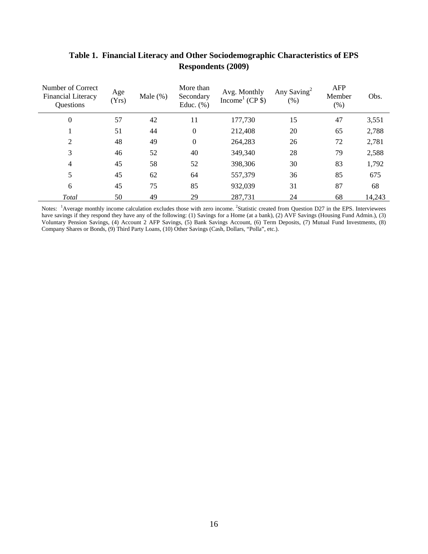| Number of Correct<br><b>Financial Literacy</b><br>Questions | Age<br>(Yrs) | Male $(\%)$ | More than<br>Secondary<br>Educ. $(\%)$ | Avg. Monthly<br>Income <sup>1</sup> (CP $\})$ ) | Any Saving <sup>2</sup><br>$(\%)$ | <b>AFP</b><br>Member<br>(% ) | Obs.   |
|-------------------------------------------------------------|--------------|-------------|----------------------------------------|-------------------------------------------------|-----------------------------------|------------------------------|--------|
| $\boldsymbol{0}$                                            | 57           | 42          | 11                                     | 177,730                                         | 15                                | 47                           | 3,551  |
|                                                             | 51           | 44          | $\boldsymbol{0}$                       | 212,408                                         | 20                                | 65                           | 2,788  |
| $\mathfrak{2}$                                              | 48           | 49          | $\boldsymbol{0}$                       | 264,283                                         | 26                                | 72                           | 2,781  |
| 3                                                           | 46           | 52          | 40                                     | 349,340                                         | 28                                | 79                           | 2,588  |
| 4                                                           | 45           | 58          | 52                                     | 398,306                                         | 30                                | 83                           | 1,792  |
| 5                                                           | 45           | 62          | 64                                     | 557,379                                         | 36                                | 85                           | 675    |
| 6                                                           | 45           | 75          | 85                                     | 932,039                                         | 31                                | 87                           | 68     |
| Total                                                       | 50           | 49          | 29                                     | 287,731                                         | 24                                | 68                           | 14,243 |

# **Table 1. Financial Literacy and Other Sociodemographic Characteristics of EPS Respondents (2009)**

Notes: <sup>1</sup>Average monthly income calculation excludes those with zero income. <sup>2</sup>Statistic created from Question D27 in the EPS. Interviewees have savings if they respond they have any of the following: (1) Savings for a Home (at a bank), (2) AVF Savings (Housing Fund Admin.), (3) Voluntary Pension Savings, (4) Account 2 AFP Savings, (5) Bank Savings Account, (6) Term Deposits, (7) Mutual Fund Investments, (8) Company Shares or Bonds, (9) Third Party Loans, (10) Other Savings (Cash, Dollars, "Polla", etc.).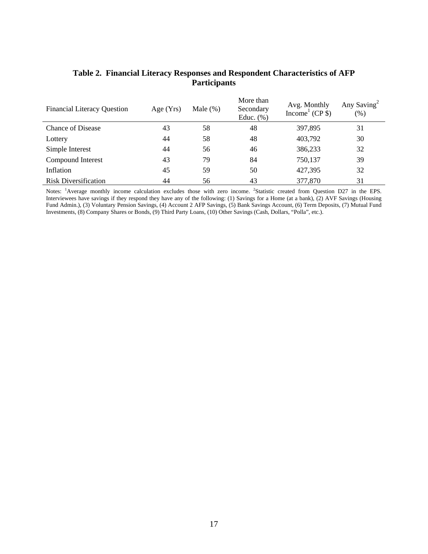| <b>Financial Literacy Question</b> | Age (Yrs) | Male $(\%)$ | More than<br>Secondary<br>Educ. $(\% )$ | Avg. Monthly<br>Income $(CP \$ | Any Saving <sup>2</sup><br>$(\% )$ |
|------------------------------------|-----------|-------------|-----------------------------------------|--------------------------------|------------------------------------|
| <b>Chance of Disease</b>           | 43        | 58          | 48                                      | 397,895                        | 31                                 |
| Lottery                            | 44        | 58          | 48                                      | 403,792                        | 30                                 |
| Simple Interest                    | 44        | 56          | 46                                      | 386,233                        | 32                                 |
| Compound Interest                  | 43        | 79          | 84                                      | 750,137                        | 39                                 |
| Inflation                          | 45        | 59          | 50                                      | 427,395                        | 32                                 |
| <b>Risk Diversification</b>        | 44        | 56          | 43                                      | 377,870                        | 31                                 |

### **Table 2. Financial Literacy Responses and Respondent Characteristics of AFP Participants**

Notes: <sup>1</sup>Average monthly income calculation excludes those with zero income. <sup>2</sup>Statistic created from Question D27 in the EPS. Interviewees have savings if they respond they have any of the following: (1) Savings for a Home (at a bank), (2) AVF Savings (Housing Fund Admin.), (3) Voluntary Pension Savings, (4) Account 2 AFP Savings, (5) Bank Savings Account, (6) Term Deposits, (7) Mutual Fund Investments, (8) Company Shares or Bonds, (9) Third Party Loans, (10) Other Savings (Cash, Dollars, "Polla", etc.).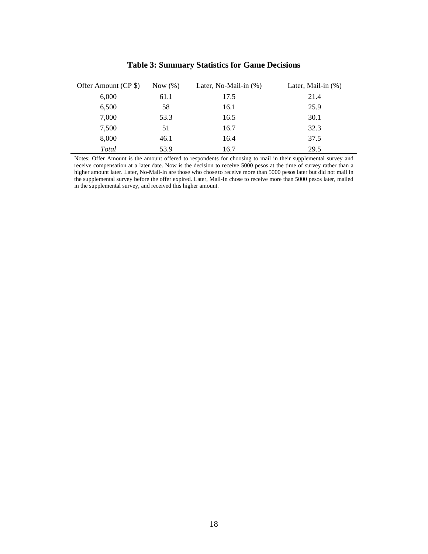| Offer Amount (CP \$) | Now $(\%)$ | Later, No-Mail-in (%) | Later, Mail-in $(\%)$ |
|----------------------|------------|-----------------------|-----------------------|
| 6,000                | 61.1       | 17.5                  | 21.4                  |
| 6,500                | 58         | 16.1                  | 25.9                  |
| 7,000                | 53.3       | 16.5                  | 30.1                  |
| 7,500                | 51         | 16.7                  | 32.3                  |
| 8,000                | 46.1       | 16.4                  | 37.5                  |
| Total                | 53.9       | 16.7                  | 29.5                  |

### **Table 3: Summary Statistics for Game Decisions**

Notes: Offer Amount is the amount offered to respondents for choosing to mail in their supplemental survey and receive compensation at a later date. Now is the decision to receive 5000 pesos at the time of survey rather than a higher amount later. Later, No-Mail-In are those who chose to receive more than 5000 pesos later but did not mail in the supplemental survey before the offer expired. Later, Mail-In chose to receive more than 5000 pesos later, mailed in the supplemental survey, and received this higher amount.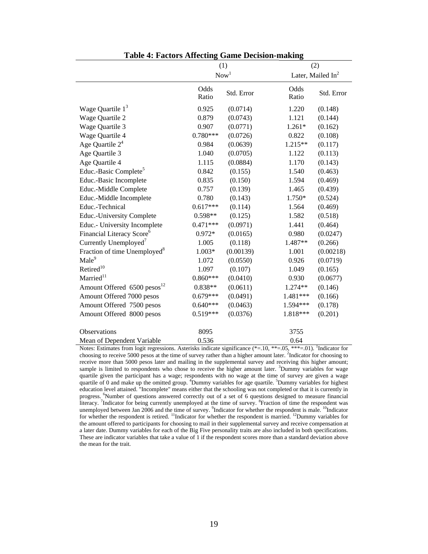|                                          |               | (1)              | (2)                         |
|------------------------------------------|---------------|------------------|-----------------------------|
|                                          |               | Now <sup>1</sup> | Later, Mailed $In2$         |
|                                          | Odds<br>Ratio | Std. Error       | Odds<br>Std. Error<br>Ratio |
| Wage Quartile $13$                       | 0.925         | (0.0714)         | 1.220<br>(0.148)            |
| Wage Quartile 2                          | 0.879         | (0.0743)         | (0.144)<br>1.121            |
| Wage Quartile 3                          | 0.907         | (0.0771)         | $1.261*$<br>(0.162)         |
| Wage Quartile 4                          | $0.780***$    | (0.0726)         | (0.108)<br>0.822            |
| Age Quartile $2^4$                       | 0.984         | (0.0639)         | 1.215**<br>(0.117)          |
| Age Quartile 3                           | 1.040         | (0.0705)         | (0.113)<br>1.122            |
| Age Quartile 4                           | 1.115         | (0.0884)         | (0.143)<br>1.170            |
| Educ.-Basic Complete <sup>5</sup>        | 0.842         | (0.155)          | 1.540<br>(0.463)            |
| Educ.-Basic Incomplete                   | 0.835         | (0.150)          | (0.469)<br>1.594            |
| Educ.-Middle Complete                    | 0.757         | (0.139)          | (0.439)<br>1.465            |
| Educ.-Middle Incomplete                  | 0.780         | (0.143)          | 1.750*<br>(0.524)           |
| Educ.-Technical                          | $0.617***$    | (0.114)          | 1.564<br>(0.469)            |
| Educ.-University Complete                | 0.598**       | (0.125)          | (0.518)<br>1.582            |
| Educ.- University Incomplete             | $0.471***$    | (0.0971)         | (0.464)<br>1.441            |
| Financial Literacy Score <sup>6</sup>    | $0.972*$      | (0.0165)         | 0.980<br>(0.0247)           |
| Currently Unemployed <sup>7</sup>        | 1.005         | (0.118)          | (0.266)<br>1.487**          |
| Fraction of time Unemployed <sup>8</sup> | $1.003*$      | (0.00139)        | 1.001<br>(0.00218)          |
| Male <sup>9</sup>                        | 1.072         | (0.0550)         | 0.926<br>(0.0719)           |
| Retired <sup>10</sup>                    | 1.097         | (0.107)          | (0.165)<br>1.049            |
| Married <sup>11</sup>                    | $0.860***$    | (0.0410)         | (0.0677)<br>0.930           |
| Amount Offered 6500 pesos <sup>12</sup>  | 0.838**       | (0.0611)         | (0.146)<br>1.274**          |
| Amount Offered 7000 pesos                | $0.679***$    | (0.0491)         | (0.166)<br>1.481***         |
| Amount Offered 7500 pesos                | $0.640***$    | (0.0463)         | 1.594***<br>(0.178)         |
| Amount Offered 8000 pesos                | $0.519***$    | (0.0376)         | 1.818***<br>(0.201)         |
| Observations                             | 8095          |                  | 3755                        |
| Mean of Dependent Variable               | 0.536         |                  | 0.64                        |

**Table 4: Factors Affecting Game Decision-making** 

Notes: Estimates from logit regressions. Asterisks indicate significance (\*=.10, \*\*=.05, \*\*\*=.01). <sup>1</sup>Indicator for choosing to receive 5000 pesos at the time of survey rather than a higher amount later. <sup>2</sup>Indicator for choosing to receive more than 5000 pesos later and mailing in the supplemental survey and receiving this higher amount; sample is limited to respondents who chose to receive the higher amount later. <sup>3</sup>Dummy variables for wage quartile given the participant has a wage; respondents with no wage at the time of survey are given a wage quartile of 0 and make up the omitted group. <sup>4</sup>Dummy variables for age quartile. <sup>5</sup>Dummy variables for highest education level attained. "Incomplete" means either that the schooling was not completed or that it is currently in progress. 6Number of questions answered correctly out of a set of 6 questions designed to measure financial literacy. <sup>7</sup>Indicator for being currently unemployed at the time of survey. <sup>8</sup>Fraction of time the respondent was unemployed between Jan 2006 and the time of survey. <sup>9</sup>Indicator for whether the respondent is male. <sup>10</sup>Indicator for whether the respondent is retired. <sup>11</sup>Indicator for whether the respondent is married. <sup>12</sup>Dummy variables for the amount offered to participants for choosing to mail in their supplemental survey and receive compensation at a later date. Dummy variables for each of the Big Five personality traits are also included in both specifications. These are indicator variables that take a value of 1 if the respondent scores more than a standard deviation above the mean for the trait.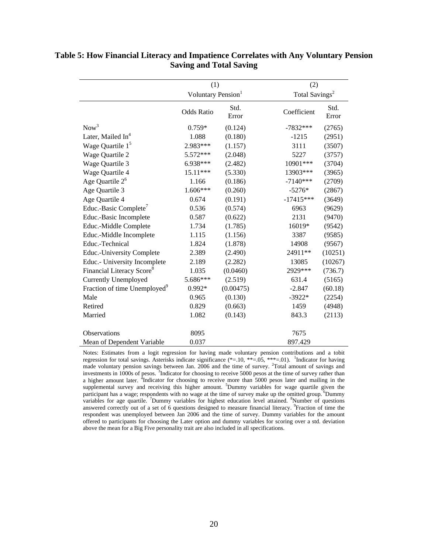|                                          | (1)                            |               | (2)                        |               |
|------------------------------------------|--------------------------------|---------------|----------------------------|---------------|
|                                          | Voluntary Pension <sup>1</sup> |               | Total Savings <sup>2</sup> |               |
|                                          | <b>Odds Ratio</b>              | Std.<br>Error | Coefficient                | Std.<br>Error |
| Now <sup>3</sup>                         | $0.759*$                       | (0.124)       | $-7832***$                 | (2765)        |
| Later, Mailed In <sup>4</sup>            | 1.088                          | (0.180)       | $-1215$                    | (2951)        |
| Wage Quartile $15$                       | 2.983***                       | (1.157)       | 3111                       | (3507)        |
| Wage Quartile 2                          | 5.572***                       | (2.048)       | 5227                       | (3757)        |
| Wage Quartile 3                          | 6.938***                       | (2.482)       | 10901***                   | (3704)        |
| Wage Quartile 4                          | 15.11***                       | (5.330)       | 13903***                   | (3965)        |
| Age Quartile $2^6$                       | 1.166                          | (0.186)       | $-7140***$                 | (2709)        |
| Age Quartile 3                           | 1.606***                       | (0.260)       | $-5276*$                   | (2867)        |
| Age Quartile 4                           | 0.674                          | (0.191)       | $-17415***$                | (3649)        |
| Educ.-Basic Complete <sup>7</sup>        | 0.536                          | (0.574)       | 6963                       | (9629)        |
| Educ.-Basic Incomplete                   | 0.587                          | (0.622)       | 2131                       | (9470)        |
| Educ.-Middle Complete                    | 1.734                          | (1.785)       | 16019*                     | (9542)        |
| Educ.-Middle Incomplete                  | 1.115                          | (1.156)       | 3387                       | (9585)        |
| Educ.-Technical                          | 1.824                          | (1.878)       | 14908                      | (9567)        |
| <b>Educ.-University Complete</b>         | 2.389                          | (2.490)       | 24911**                    | (10251)       |
| Educ.- University Incomplete             | 2.189                          | (2.282)       | 13085                      | (10267)       |
| Financial Literacy Score <sup>8</sup>    | 1.035                          | (0.0460)      | 2929***                    | (736.7)       |
| Currently Unemployed                     | 5.686***                       | (2.519)       | 631.4                      | (5165)        |
| Fraction of time Unemployed <sup>9</sup> | 0.992*                         | (0.00475)     | $-2.847$                   | (60.18)       |
| Male                                     | 0.965                          | (0.130)       | $-3922*$                   | (2254)        |
| Retired                                  | 0.829                          | (0.663)       | 1459                       | (4948)        |
| Married                                  | 1.082                          | (0.143)       | 843.3                      | (2113)        |
| Observations                             | 8095                           |               | 7675                       |               |
| Mean of Dependent Variable               | 0.037                          |               | 897.429                    |               |

### **Table 5: How Financial Literacy and Impatience Correlates with Any Voluntary Pension Saving and Total Saving**

Notes: Estimates from a logit regression for having made voluntary pension contributions and a tobit regression for total savings. Asterisks indicate significance  $(*=10, **=0.05, ***=01)$ . <sup>1</sup>Indicator for having made voluntary pension savings between Jan. 2006 and the time of survey. <sup>2</sup>Total amount of savings and investments in 1000s of pesos.<sup>3</sup>Indicator for choosing to receive 5000 pesos at the time of survey rather than a higher amount later. <sup>4</sup>Indicator for choosing to receive more than 5000 pesos later and mailing in the supplemental survey and receiving this higher amount. <sup>5</sup>Dummy variables for wage quartile given the participant has a wage; respondents with no wage at the time of survey make up the omitted group. <sup>6</sup>Dummy variables for age quartile. <sup>7</sup>Dummy variables for highest education level attained. <sup>8</sup>Number of questions answered correctly out of a set of 6 questions designed to measure financial literacy. <sup>9</sup>Fraction of time the respondent was unemployed between Jan 2006 and the time of survey. Dummy variables for the amount offered to participants for choosing the Later option and dummy variables for scoring over a std. deviation above the mean for a Big Five personality trait are also included in all specifications.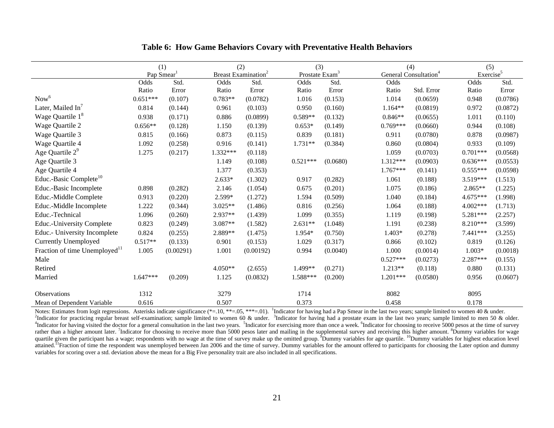|                                           |            | (1)                    |           | (2)                             | (3)                        |          |            | (4)                               | (5)                   |          |
|-------------------------------------------|------------|------------------------|-----------|---------------------------------|----------------------------|----------|------------|-----------------------------------|-----------------------|----------|
|                                           |            | Pap Smear <sup>1</sup> |           | Breast Examination <sup>2</sup> | Prostate Exam <sup>3</sup> |          |            | General Consultation <sup>4</sup> | Exercise <sup>5</sup> |          |
|                                           | Odds       | Std.                   | Odds      | Std.                            | Odds                       | Std.     | Odds       |                                   | Odds                  | Std.     |
|                                           | Ratio      | Error                  | Ratio     | Error                           | Ratio                      | Error    | Ratio      | Std. Error                        | Ratio                 | Error    |
| Now <sup>6</sup>                          | $0.651***$ | (0.107)                | $0.783**$ | (0.0782)                        | 1.016                      | (0.153)  | 1.014      | (0.0659)                          | 0.948                 | (0.0786) |
| Later, Mailed In                          | 0.814      | (0.144)                | 0.961     | (0.103)                         | 0.950                      | (0.160)  | $1.164**$  | (0.0819)                          | 0.972                 | (0.0872) |
| Wage Quartile $18$                        | 0.938      | (0.171)                | 0.886     | (0.0899)                        | $0.589**$                  | (0.132)  | $0.846**$  | (0.0655)                          | 1.011                 | (0.110)  |
| Wage Quartile 2                           | $0.656**$  | (0.128)                | 1.150     | (0.139)                         | $0.653*$                   | (0.149)  | $0.769***$ | (0.0660)                          | 0.944                 | (0.108)  |
| Wage Quartile 3                           | 0.815      | (0.166)                | 0.873     | (0.115)                         | 0.839                      | (0.181)  | 0.911      | (0.0780)                          | 0.878                 | (0.0987) |
| Wage Quartile 4                           | 1.092      | (0.258)                | 0.916     | (0.141)                         | 1.731**                    | (0.384)  | 0.860      | (0.0804)                          | 0.933                 | (0.109)  |
| Age Quartile $2^9$                        | 1.275      | (0.217)                | 1.332***  | (0.118)                         |                            |          | 1.059      | (0.0703)                          | $0.701***$            | (0.0568) |
| Age Quartile 3                            |            |                        | 1.149     | (0.108)                         | $0.521***$                 | (0.0680) | 1.312***   | (0.0903)                          | $0.636***$            | (0.0553) |
| Age Quartile 4                            |            |                        | 1.377     | (0.353)                         |                            |          | $1.767***$ | (0.141)                           | $0.555***$            | (0.0598) |
| Educ.-Basic Complete <sup>10</sup>        |            |                        | $2.633*$  | (1.302)                         | 0.917                      | (0.282)  | 1.061      | (0.188)                           | 3.519***              | (1.513)  |
| Educ.-Basic Incomplete                    | 0.898      | (0.282)                | 2.146     | (1.054)                         | 0.675                      | (0.201)  | 1.075      | (0.186)                           | $2.865**$             | (1.225)  |
| Educ.-Middle Complete                     | 0.913      | (0.220)                | 2.599*    | (1.272)                         | 1.594                      | (0.509)  | 1.040      | (0.184)                           | 4.675***              | (1.998)  |
| Educ.-Middle Incomplete                   | 1.222      | (0.344)                | $3.025**$ | (1.486)                         | 0.816                      | (0.256)  | 1.064      | (0.188)                           | 4.002***              | (1.713)  |
| Educ.-Technical                           | 1.096      | (0.260)                | 2.937**   | (1.439)                         | 1.099                      | (0.355)  | 1.119      | (0.198)                           | 5.281***              | (2.257)  |
| <b>Educ.-University Complete</b>          | 0.823      | (0.249)                | 3.087**   | (1.582)                         | 2.631**                    | (1.048)  | 1.191      | (0.238)                           | 8.210***              | (3.599)  |
| Educ.- University Incomplete              | 0.824      | (0.255)                | 2.889**   | (1.475)                         | 1.954*                     | (0.750)  | 1.403*     | (0.278)                           | 7.441 ***             | (3.255)  |
| <b>Currently Unemployed</b>               | $0.517**$  | (0.133)                | 0.901     | (0.153)                         | 1.029                      | (0.317)  | 0.866      | (0.102)                           | 0.819                 | (0.126)  |
| Fraction of time Unemployed <sup>11</sup> | 1.005      | (0.00291)              | 1.001     | (0.00192)                       | 0.994                      | (0.0040) | 1.000      | (0.0014)                          | $1.003*$              | (0.0018) |
| Male                                      |            |                        |           |                                 |                            |          | $0.527***$ | (0.0273)                          | 2.287***              | (0.155)  |
| Retired                                   |            |                        | $4.050**$ | (2.655)                         | 1.499**                    | (0.271)  | $1.213**$  | (0.118)                           | 0.880                 | (0.131)  |
| Married                                   | $1.647***$ | (0.209)                | 1.125     | (0.0832)                        | 1.588***                   | (0.200)  | $1.201***$ | (0.0580)                          | 0.956                 | (0.0607) |
| <b>Observations</b>                       | 1312       |                        | 3279      |                                 | 1714                       |          | 8082       |                                   | 8095                  |          |
| Mean of Dependent Variable                | 0.616      |                        | 0.507     |                                 | 0.373                      |          | 0.458      |                                   | 0.178                 |          |

### **Table 6: How Game Behaviors Covary with Preventative Health Behaviors**

Notes: Estimates from logit regressions. Asterisks indicate significance  $(*=10, **=05, **=-01)$ . Indicator for having had a Pap Smear in the last two years; sample limited to women 40 & under. <sup>2</sup>Indicator for practicing regular breast self-examination; sample limited to women 60 & under. <sup>3</sup>Indicator for having had a prostate exam in the last two years; sample limited to men 50 & older. <sup>4</sup>Indicator for having visited the doctor for a general consultation in the last two years. <sup>5</sup>Indicator for exercising more than once a week. <sup>6</sup>Indicator for choosing to receive 5000 pesos at the time of survey rather than a higher amount later. <sup>7</sup>Indicator for choosing to receive more than 5000 pesos later and mailing in the supplemental survey and receiving this higher amount. <sup>8</sup>Dummy variables for wage quartile given the participant has a wage; respondents with no wage at the time of survey make up the omitted group. Dummy variables for age quartile. <sup>10</sup>Dummy variables for highest education level attained.<sup>11</sup>Fraction of time the respondent was unemployed between Jan 2006 and the time of survey. Dummy variables for the amount offered to participants for choosing the Later option and dummy variables for scoring over a std. deviation above the mean for a Big Five personality trait are also included in all specifications.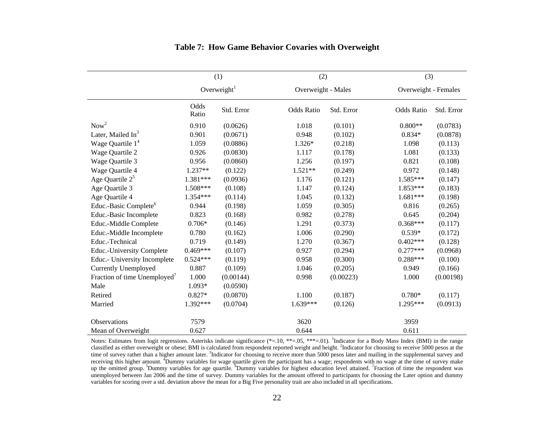|                                          | (1)           |                | (2)                |            | (3)                  |            |  |
|------------------------------------------|---------------|----------------|--------------------|------------|----------------------|------------|--|
|                                          |               | Overweight $1$ | Overweight - Males |            | Overweight - Females |            |  |
|                                          | Odds<br>Ratio | Std. Error     | <b>Odds Ratio</b>  | Std. Error | <b>Odds Ratio</b>    | Std. Error |  |
| Now <sup>2</sup>                         | 0.910         | (0.0626)       | 1.018              | (0.101)    | $0.800**$            | (0.0783)   |  |
| Later, Mailed In <sup>3</sup>            | 0.901         | (0.0671)       | 0.948              | (0.102)    | $0.834*$             | (0.0878)   |  |
| Wage Quartile $14$                       | 1.059         | (0.0886)       | 1.326*             | (0.218)    | 1.098                | (0.113)    |  |
| Wage Quartile 2                          | 0.926         | (0.0830)       | 1.117              | (0.178)    | 1.081                | (0.133)    |  |
| Wage Quartile 3                          | 0.956         | (0.0860)       | 1.256              | (0.197)    | 0.821                | (0.108)    |  |
| Wage Quartile 4                          | 1.237**       | (0.122)        | $1.521**$          | (0.249)    | 0.972                | (0.148)    |  |
| Age Quartile $2^5$                       | $1.381***$    | (0.0936)       | 1.176              | (0.121)    | 1.585***             | (0.147)    |  |
| Age Quartile 3                           | 1.508***      | (0.108)        | 1.147              | (0.124)    | 1.853***             | (0.183)    |  |
| Age Quartile 4                           | 1.354***      | (0.114)        | 1.045              | (0.132)    | $1.681***$           | (0.198)    |  |
| Educ.-Basic Complete <sup>6</sup>        | 0.944         | (0.198)        | 1.059              | (0.305)    | 0.816                | (0.265)    |  |
| Educ.-Basic Incomplete                   | 0.823         | (0.168)        | 0.982              | (0.278)    | 0.645                | (0.204)    |  |
| Educ.-Middle Complete                    | $0.706*$      | (0.146)        | 1.291              | (0.373)    | $0.368***$           | (0.117)    |  |
| Educ.-Middle Incomplete                  | 0.780         | (0.162)        | 1.006              | (0.290)    | $0.539*$             | (0.172)    |  |
| Educ.-Technical                          | 0.719         | (0.149)        | 1.270              | (0.367)    | $0.402***$           | (0.128)    |  |
| <b>Educ.-University Complete</b>         | $0.469***$    | (0.107)        | 0.927              | (0.294)    | $0.277***$           | (0.0968)   |  |
| Educ.- University Incomplete             | $0.524***$    | (0.119)        | 0.958              | (0.300)    | $0.288***$           | (0.100)    |  |
| <b>Currently Unemployed</b>              | 0.887         | (0.109)        | 1.046              | (0.205)    | 0.949                | (0.166)    |  |
| Fraction of time Unemployed <sup>7</sup> | 1.000         | (0.00144)      | 0.998              | (0.00223)  | 1.000                | (0.00198)  |  |
| Male                                     | 1.093*        | (0.0590)       |                    |            |                      |            |  |
| Retired                                  | $0.827*$      | (0.0870)       | 1.100              | (0.187)    | $0.780*$             | (0.117)    |  |
| Married                                  | 1.392***      | (0.0704)       | $1.639***$         | (0.126)    | 1.295***             | (0.0913)   |  |
| <b>Observations</b>                      | 7579          |                | 3620               |            | 3959                 |            |  |
| Mean of Overweight                       | 0.627         |                | 0.644              |            | 0.611                |            |  |

### **Table 7: How Game Behavior Covaries with Overweight**

Notes: Estimates from logit regressions. Asterisks indicate significance  $(*=10, **=05, **=01)$ . <sup>1</sup>Indicator for a Body Mass Index (BMI) in the range classified as either overweight or obese; BMI is calculated from respondent reported weight and height. <sup>2</sup>Indicator for choosing to receive 5000 pesos at the time of survey rather than a higher amount later. <sup>3</sup>Indicator for choosing to receive more than 5000 pesos later and mailing in the supplemental survey and receiving this higher amount. <sup>4</sup>Dummy variables for wage quartile given the participant has a wage; respondents with no wage at the time of survey make up the omitted group. <sup>5</sup>Dummy variables for age quartile. <sup>6</sup>Dummy variables for highest education level attained. <sup>7</sup>Fraction of time the respondent was unemployed between Jan 2006 and the time of survey. Dummy variables for the amount offered to participants for choosing the Later option and dummy variables for scoring over a std. deviation above the mean for a Big Five personality trait are also included in all specifications.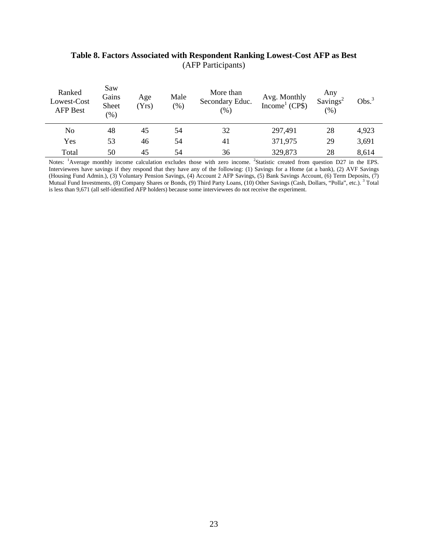| Ranked<br>Lowest-Cost<br><b>AFP Best</b> | Saw<br>Gains<br>Sheet<br>(96) | Age<br>(Yrs) | Male<br>$(\%)$ | More than<br>Secondary Educ.<br>$(\%)$ | Avg. Monthly<br>Income <sup>1</sup> (CP\$) | Any<br>Savings <sup>2</sup><br>(% ) | Obs. <sup>3</sup> |
|------------------------------------------|-------------------------------|--------------|----------------|----------------------------------------|--------------------------------------------|-------------------------------------|-------------------|
| No                                       | 48                            | 45           | 54             | 32                                     | 297,491                                    | 28                                  | 4,923             |
| Yes                                      | 53                            | 46           | 54             | 41                                     | 371,975                                    | 29                                  | 3,691             |
| Total                                    | 50                            | 45           | 54             | 36                                     | 329,873                                    | 28                                  | 8,614             |

## **Table 8. Factors Associated with Respondent Ranking Lowest-Cost AFP as Best**  (AFP Participants)

Notes: <sup>1</sup>Average monthly income calculation excludes those with zero income. <sup>2</sup>Statistic created from question D27 in the EPS. Interviewees have savings if they respond that they have any of the following: (1) Savings for a Home (at a bank), (2) AVF Savings (Housing Fund Admin.), (3) Voluntary Pension Savings, (4) Account 2 AFP Savings, (5) Bank Savings Account, (6) Term Deposits, (7) Mutual Fund Investments, (8) Company Shares or Bonds, (9) Third Party Loans, (10) Other Savings (Cash, Dollars, "Polla", etc.). <sup>3</sup> Total is less than 9,671 (all self-identified AFP holders) because some interviewees do not receive the experiment.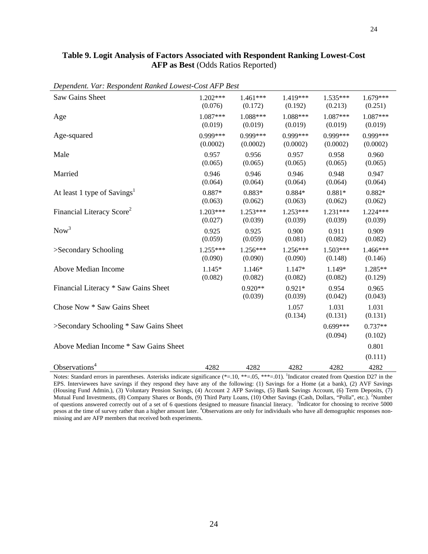| Table 9. Logit Analysis of Factors Associated with Respondent Ranking Lowest-Cost                                       |  |  |  |  |  |
|-------------------------------------------------------------------------------------------------------------------------|--|--|--|--|--|
| <b>AFP</b> as Best (Odds Ratios Reported)                                                                               |  |  |  |  |  |
|                                                                                                                         |  |  |  |  |  |
| $\mathbf{D}$ , $\mathbf{D}$ , $\mathbf{D}$ , , $\mathbf{D}$ , $\mathbf{D}$ , $\mathbf{D}$ , $\mathbf{D}$ , $\mathbf{D}$ |  |  |  |  |  |

| Saw Gains Sheet                         | $1.202***$ | 1.461***             | 1.419***            | 1.535***              | $1.679***$           |
|-----------------------------------------|------------|----------------------|---------------------|-----------------------|----------------------|
|                                         | (0.076)    | (0.172)              | (0.192)             | (0.213)               | (0.251)              |
| Age                                     | $1.087***$ | 1.088***             | 1.088***            | $1.087***$            | 1.087***             |
|                                         | (0.019)    | (0.019)              | (0.019)             | (0.019)               | (0.019)              |
| Age-squared                             | $0.999***$ | 0.999***             | 0.999***            | 0.999***              | 0.999***             |
|                                         | (0.0002)   | (0.0002)             | (0.0002)            | (0.0002)              | (0.0002)             |
| Male                                    | 0.957      | 0.956                | 0.957               | 0.958                 | 0.960                |
|                                         | (0.065)    | (0.065)              | (0.065)             | (0.065)               | (0.065)              |
| Married                                 | 0.946      | 0.946                | 0.946               | 0.948                 | 0.947                |
|                                         | (0.064)    | (0.064)              | (0.064)             | (0.064)               | (0.064)              |
| At least 1 type of Savings <sup>1</sup> | 0.887*     | $0.883*$             | $0.884*$            | $0.881*$              | $0.882*$             |
|                                         | (0.063)    | (0.062)              | (0.063)             | (0.062)               | (0.062)              |
| Financial Literacy Score <sup>2</sup>   | $1.203***$ | $1.253***$           | $1.253***$          | $1.231***$            | $1.224***$           |
|                                         | (0.027)    | (0.039)              | (0.039)             | (0.039)               | (0.039)              |
| Now <sup>3</sup>                        | 0.925      | 0.925                | 0.900               | 0.911                 | 0.909                |
|                                         | (0.059)    | (0.059)              | (0.081)             | (0.082)               | (0.082)              |
| >Secondary Schooling                    | $1.255***$ | $1.256***$           | $1.256***$          | $1.503***$            | 1.466***             |
|                                         | (0.090)    | (0.090)              | (0.090)             | (0.148)               | (0.146)              |
| Above Median Income                     | $1.145*$   | 1.146*               | 1.147*              | 1.149*                | 1.285**              |
|                                         | (0.082)    | (0.082)              | (0.082)             | (0.082)               | (0.129)              |
| Financial Literacy * Saw Gains Sheet    |            | $0.920**$<br>(0.039) | $0.921*$<br>(0.039) | 0.954<br>(0.042)      | 0.965<br>(0.043)     |
| Chose Now * Saw Gains Sheet             |            |                      | 1.057<br>(0.134)    | 1.031<br>(0.131)      | 1.031<br>(0.131)     |
| >Secondary Schooling * Saw Gains Sheet  |            |                      |                     | $0.699***$<br>(0.094) | $0.737**$<br>(0.102) |
| Above Median Income * Saw Gains Sheet   |            |                      |                     |                       | 0.801<br>(0.111)     |
| Observations <sup>4</sup>               | 4282       | 4282                 | 4282                | 4282                  | 4282                 |

*Dependent. Var: Respondent Ranked Lowest-Cost AFP Best*

Notes: Standard errors in parentheses. Asterisks indicate significance (\*=.10, \*\*=.05, \*\*\*=.01). <sup>1</sup>Indicator created from Question D27 in the EPS. Interviewees have savings if they respond they have any of the following: (1) Savings for a Home (at a bank), (2) AVF Savings (Housing Fund Admin.), (3) Voluntary Pension Savings, (4) Account 2 AFP Savings, (5) Bank Savings Account, (6) Term Deposits, (7) Mutual Fund Investments, (8) Company Shares or Bonds, (9) Third Party Loans, (10) Other Savings (Cash, Dollars, "Polla", etc.). <sup>2</sup>Number of questions answered correctly out of a set of 6 questions designed to measure financial literacy. <sup>3</sup>Indicator for choosing to receive 5000 pesos at the time of survey rather than a higher amount later. <sup>4</sup>Observations are only for individuals who have all demographic responses nonmissing and are AFP members that received both experiments.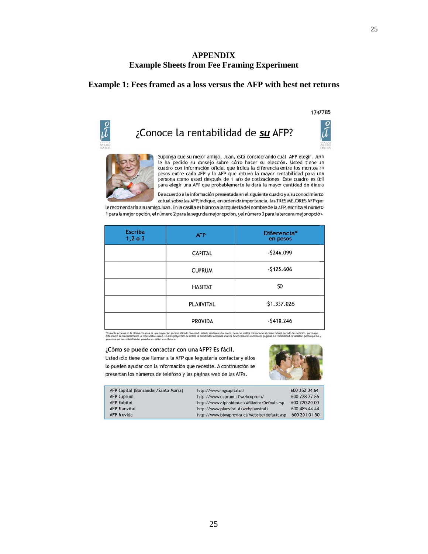### **Example Sheets from Fee Framing Experiment AP PPENDIX**

### **Example 1: Fees framed as a loss versus the AFP with best net returns**

#### 1747785

iÍ



Suponga que su mejor amigo, Juan, está considerando cuál AFP elegir. Juan le ha pedido su consejo sobre cómo hacer su elección. Usted tiene un cuadro con información oficial que irdica la diferencia entre los montos en pesos entre cada AFP y la AFP que obtuvo la mayor rentabilidad para una persona como usted después de 1 año de cotizaciones. Este cuadro es útil .<br>para elegir una AFP que probablemente le dará la mayor cantidad de dinero

De acuerdo a la información presentada en el siguiente cuadro y a su conocimiento actual sobre las AFP, indique, en orden de importancia, las TRES MEJORES AFP que

le recomendaría a su amigo Juan. En la casilla en blanco a la izquierda del nombre de la AFP, escriba el número 1 para la mejor opción, el nímero 2 para la segunda mejor opción, y el número 3 para la tercera mejor opción.

| <b>Escriba</b><br>1, 2, 0, 3 | <b>AFP</b>       | Diferencia*<br>en pesos |  |
|------------------------------|------------------|-------------------------|--|
|                              | <b>CAPITAL</b>   | $-5246.099$             |  |
|                              | <b>CUPRUM</b>    | $-5125.606$             |  |
|                              | <b>HABITAT</b>   | \$0                     |  |
|                              | <b>PLANVITAL</b> | $-$1.337.026$           |  |
|                              | <b>PROVIDA</b>   | $-5418.246$             |  |

to ro necesariamente lo representa a used. En esta pro<br>que las rentabilidades pasadas se repitar en el futuro. este mon

#### ¿Cómo se puede contactar con una AFP? Es fácil.

Usted sólo tiene que llamar a la AFP que le gustaría contactar y ellos lo pueden ayudar con la nformación que necesite. A continuación se presentan los números de teléfono y las páginas web de las AFPs.



| AFP Capital (Bansander/Santa Maria) | http://www.ingcapital.cl/                      | 600 252 04 64 |
|-------------------------------------|------------------------------------------------|---------------|
| <b>AFP Cuprum</b>                   | http://www.cuprum.cl/webcuprum/                | 600 228 77 86 |
| <b>AFP Habitat</b>                  | http://www.afphabitat.cl/Afiliados/Default.asp | 600 220 20 00 |
| <b>AFP Planvital</b>                | http://www.planvital.d/webplanvital/           | 600 485 44 44 |
| <b>AFP Provida</b>                  | http://www.bbvaprovica.cl/Website/default.asp  | 600 201 01 50 |